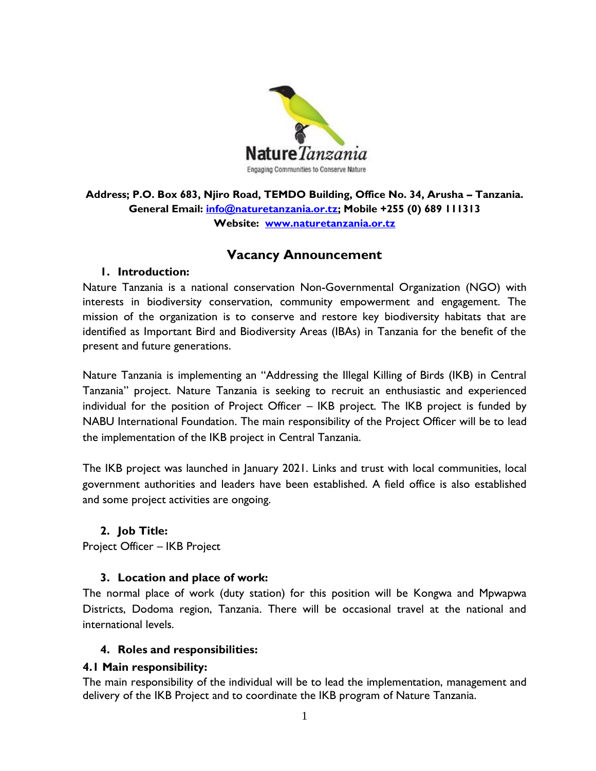

**Address; P.O. Box 683, Njiro Road, TEMDO Building, Office No. 34, Arusha – Tanzania. General Email: [info@naturetanzania.or.tz;](mailto:info@naturetanzania.or.tz) Mobile +255 (0) 689 111313 Website: [www.naturetanzania.or.tz](http://www.naturetanzania.or.tz/)**

# **Vacancy Announcement**

#### **1. Introduction:**

Nature Tanzania is a national conservation Non-Governmental Organization (NGO) with interests in biodiversity conservation, community empowerment and engagement. The mission of the organization is to conserve and restore key biodiversity habitats that are identified as Important Bird and Biodiversity Areas (IBAs) in Tanzania for the benefit of the present and future generations.

Nature Tanzania is implementing an "Addressing the Illegal Killing of Birds (IKB) in Central Tanzania" project. Nature Tanzania is seeking to recruit an enthusiastic and experienced individual for the position of Project Officer – IKB project. The IKB project is funded by NABU International Foundation. The main responsibility of the Project Officer will be to lead the implementation of the IKB project in Central Tanzania.

The IKB project was launched in January 2021. Links and trust with local communities, local government authorities and leaders have been established. A field office is also established and some project activities are ongoing.

### **2. Job Title:**

Project Officer – IKB Project

### **3. Location and place of work:**

The normal place of work (duty station) for this position will be Kongwa and Mpwapwa Districts, Dodoma region, Tanzania. There will be occasional travel at the national and international levels.

#### **4. Roles and responsibilities:**

#### **4.1 Main responsibility:**

The main responsibility of the individual will be to lead the implementation, management and delivery of the IKB Project and to coordinate the IKB program of Nature Tanzania.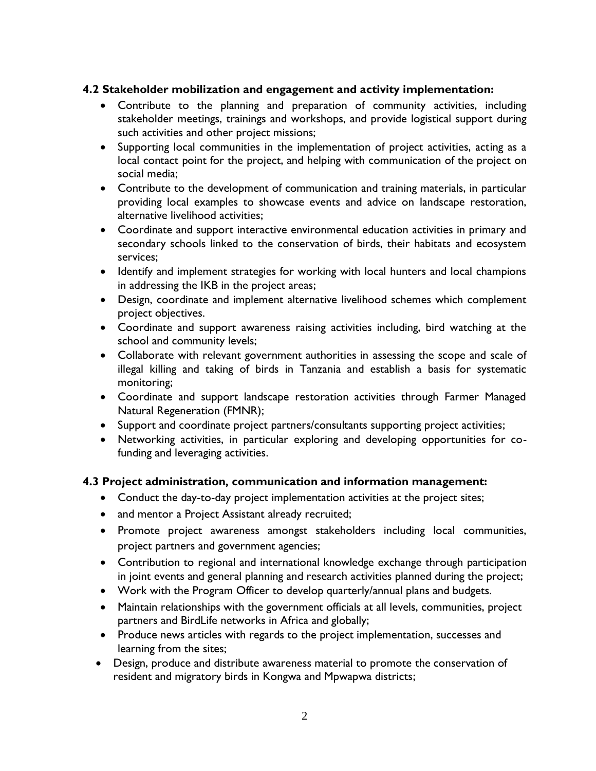### **4.2 Stakeholder mobilization and engagement and activity implementation:**

- Contribute to the planning and preparation of community activities, including stakeholder meetings, trainings and workshops, and provide logistical support during such activities and other project missions;
- Supporting local communities in the implementation of project activities, acting as a local contact point for the project, and helping with communication of the project on social media;
- Contribute to the development of communication and training materials, in particular providing local examples to showcase events and advice on landscape restoration, alternative livelihood activities;
- Coordinate and support interactive environmental education activities in primary and secondary schools linked to the conservation of birds, their habitats and ecosystem services;
- Identify and implement strategies for working with local hunters and local champions in addressing the IKB in the project areas;
- Design, coordinate and implement alternative livelihood schemes which complement project objectives.
- Coordinate and support awareness raising activities including, bird watching at the school and community levels;
- Collaborate with relevant government authorities in assessing the scope and scale of illegal killing and taking of birds in Tanzania and establish a basis for systematic monitoring;
- Coordinate and support landscape restoration activities through Farmer Managed Natural Regeneration (FMNR);
- Support and coordinate project partners/consultants supporting project activities;
- Networking activities, in particular exploring and developing opportunities for cofunding and leveraging activities.

### **4.3 Project administration, communication and information management:**

- Conduct the day-to-day project implementation activities at the project sites;
- and mentor a Project Assistant already recruited;
- Promote project awareness amongst stakeholders including local communities, project partners and government agencies;
- Contribution to regional and international knowledge exchange through participation in joint events and general planning and research activities planned during the project;
- Work with the Program Officer to develop quarterly/annual plans and budgets.
- Maintain relationships with the government officials at all levels, communities, project partners and BirdLife networks in Africa and globally;
- Produce news articles with regards to the project implementation, successes and learning from the sites;
- Design, produce and distribute awareness material to promote the conservation of resident and migratory birds in Kongwa and Mpwapwa districts;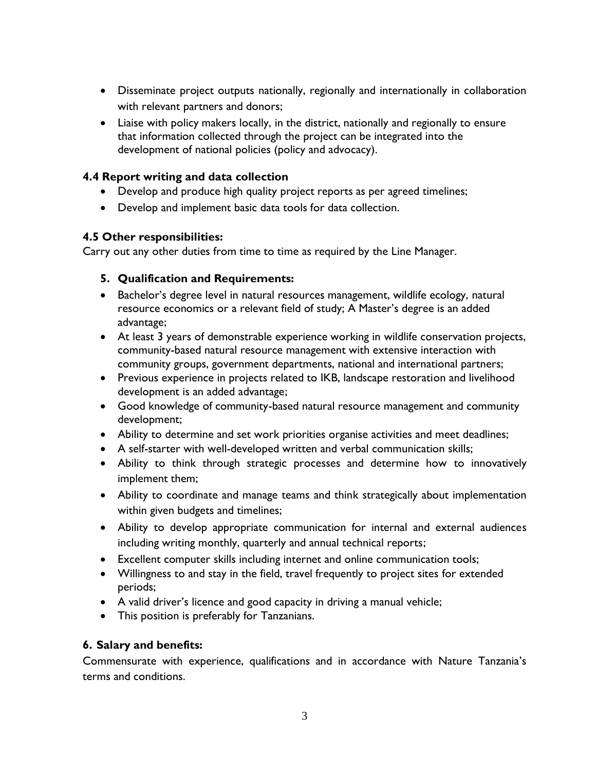- Disseminate project outputs nationally, regionally and internationally in collaboration with relevant partners and donors;
- Liaise with policy makers locally, in the district, nationally and regionally to ensure that information collected through the project can be integrated into the development of national policies (policy and advocacy).

# **4.4 Report writing and data collection**

- Develop and produce high quality project reports as per agreed timelines;
- Develop and implement basic data tools for data collection.

# **4.5 Other responsibilities:**

Carry out any other duties from time to time as required by the Line Manager.

# **5. Qualification and Requirements:**

- Bachelor's degree level in natural resources management, wildlife ecology, natural resource economics or a relevant field of study; A Master's degree is an added advantage;
- At least 3 years of demonstrable experience working in wildlife conservation projects, community-based natural resource management with extensive interaction with community groups, government departments, national and international partners;
- Previous experience in projects related to IKB, landscape restoration and livelihood development is an added advantage;
- Good knowledge of community-based natural resource management and community development;
- Ability to determine and set work priorities organise activities and meet deadlines;
- A self-starter with well-developed written and verbal communication skills;
- Ability to think through strategic processes and determine how to innovatively implement them;
- Ability to coordinate and manage teams and think strategically about implementation within given budgets and timelines;
- Ability to develop appropriate communication for internal and external audiences including writing monthly, quarterly and annual technical reports;
- Excellent computer skills including internet and online communication tools;
- Willingness to and stay in the field, travel frequently to project sites for extended periods;
- A valid driver's licence and good capacity in driving a manual vehicle;
- This position is preferably for Tanzanians.

### **6. Salary and benefits:**

Commensurate with experience, qualifications and in accordance with Nature Tanzania's terms and conditions.